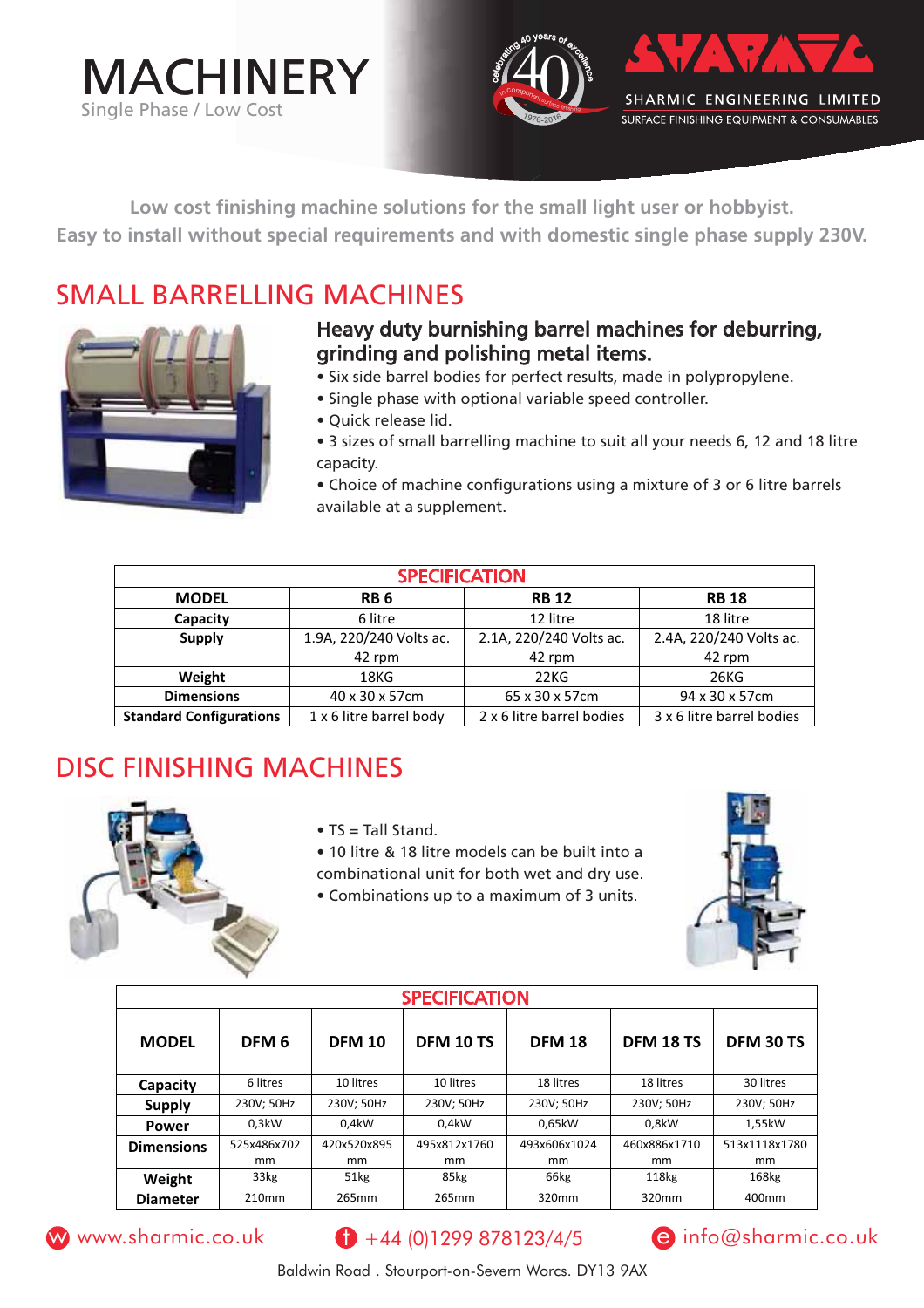



**Low cost finishing machine solutions for the small light user or hobbyist. Easy to install without special requirements and with domestic single phase supply 230V.**

#### SMALL BARRELLING MACHINES



#### Heavy duty burnishing barrel machines for deburring, grinding and polishing metal items.

- Six side barrel bodies for perfect results, made in polypropylene.
- Single phase with optional variable speed controller.
- Quick release lid.
- 3 sizes of small barrelling machine to suit all your needs 6, 12 and 18 litre capacity.
- Choice of machine configurations using a mixture of 3 or 6 litre barrels available at a supplement.

| <b>SPECIFICATION</b>           |                         |                           |                           |  |  |
|--------------------------------|-------------------------|---------------------------|---------------------------|--|--|
| <b>MODEL</b>                   | RB 6                    | <b>RB 12</b>              | <b>RB 18</b>              |  |  |
| Capacity                       | 6 litre                 | 12 litre                  | 18 litre                  |  |  |
| <b>Supply</b>                  | 1.9A, 220/240 Volts ac. | 2.1A, 220/240 Volts ac.   | 2.4A, 220/240 Volts ac.   |  |  |
|                                | 42 rpm                  | 42 rpm                    | 42 rpm                    |  |  |
| Weight                         | 18KG                    | 22KG                      | 26KG                      |  |  |
| <b>Dimensions</b>              | 40 x 30 x 57cm          | 65 x 30 x 57cm            | 94 x 30 x 57cm            |  |  |
| <b>Standard Configurations</b> | 1 x 6 litre barrel body | 2 x 6 litre barrel bodies | 3 x 6 litre barrel bodies |  |  |

### DISC FINISHING MACHINES



- $\bullet$  TS = Tall Stand.
- 10 litre & 18 litre models can be built into a
- combinational unit for both wet and dry use.
- Combinations up to a maximum of 3 units.



| <b>SPECIFICATION</b> |                  |               |                  |               |              |               |
|----------------------|------------------|---------------|------------------|---------------|--------------|---------------|
| <b>MODEL</b>         | DFM <sub>6</sub> | <b>DFM 10</b> | <b>DFM 10 TS</b> | <b>DFM 18</b> | DFM 18 TS    | DFM 30 TS     |
| Capacity             | 6 litres         | 10 litres     | 10 litres        | 18 litres     | 18 litres    | 30 litres     |
| <b>Supply</b>        | 230V; 50Hz       | 230V; 50Hz    | 230V; 50Hz       | 230V; 50Hz    | 230V; 50Hz   | 230V; 50Hz    |
| <b>Power</b>         | 0.3kW            | 0.4kW         | 0.4kW            | 0.65kW        | 0.8kW        | 1.55kW        |
| <b>Dimensions</b>    | 525x486x702      | 420x520x895   | 495x812x1760     | 493x606x1024  | 460x886x1710 | 513x1118x1780 |
|                      | mm               | mm            | mm               | mm            | mm           | mm            |
| Weight               | 33 <sub>kg</sub> | 51kg          | 85kg             | 66kg          | 118kg        | 168kg         |
| <b>Diameter</b>      | 210mm            | 265mm         | 265mm            | 320mm         | 320mm        | 400mm         |



#### W www.sharmic.co.uk  $\theta$  +44 (0)1299 878123/4/5  $\theta$  info@sharmic.co.uk



Baldwin Road . Stourport-on-Severn Worcs. DY13 9AX